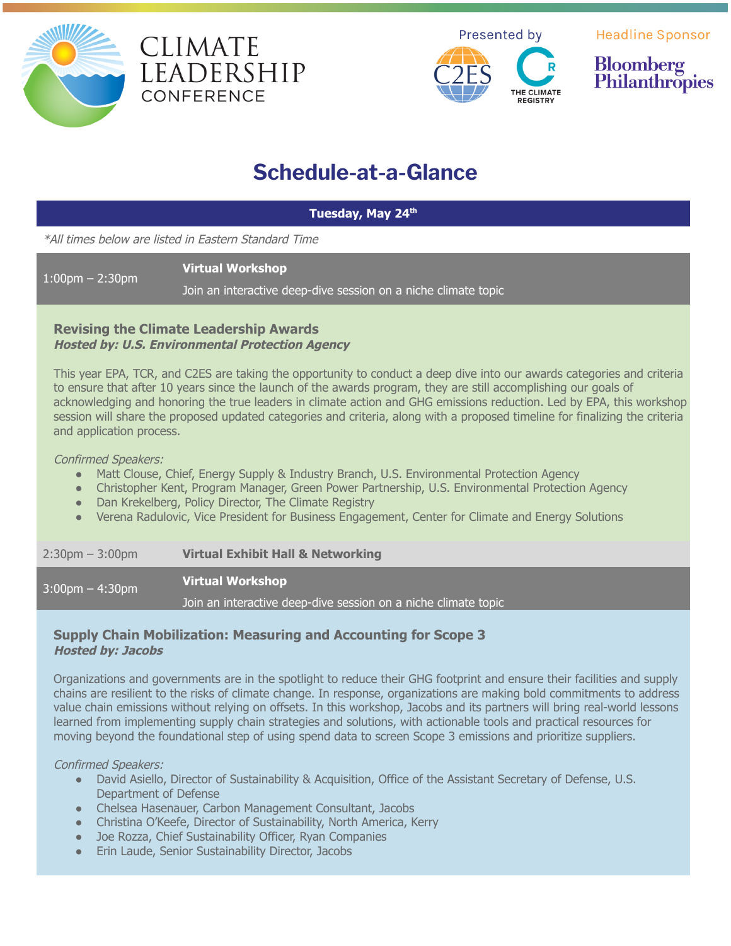





**Headline Sponsor** 



# **Schedule-at-a-Glance**

**Tuesday, May 24 th**

\*All times below are listed in Eastern Standard Time

**Virtual Workshop**

Join an interactive deep-dive session on a niche climate topic

# **Revising the Climate Leadership Awards Hosted by: U.S. Environmental Protection Agency**

This year EPA, TCR, and C2ES are taking the opportunity to conduct a deep dive into our awards categories and criteria to ensure that after 10 years since the launch of the awards program, they are still accomplishing our goals of acknowledging and honoring the true leaders in climate action and GHG emissions reduction. Led by EPA, this workshop session will share the proposed updated categories and criteria, along with a proposed timeline for finalizing the criteria and application process.

### Confirmed Speakers:

1:00pm – 2:30pm

- Matt Clouse, Chief, Energy Supply & Industry Branch, U.S. Environmental Protection Agency
- Christopher Kent, Program Manager, Green Power Partnership, U.S. Environmental Protection Agency
- Dan Krekelberg, Policy Director, The Climate Registry
- Verena Radulovic, Vice President for Business Engagement, Center for Climate and Energy Solutions

2:30pm – 3:00pm **Virtual Exhibit Hall & Networking**

3:00pm – 4:30pm **Virtual Workshop**

Join an interactive deep-dive session on a niche climate topic

# **Supply Chain Mobilization: Measuring and Accounting for Scope 3 Hosted by: Jacobs**

Organizations and governments are in the spotlight to reduce their GHG footprint and ensure their facilities and supply chains are resilient to the risks of climate change. In response, organizations are making bold commitments to address value chain emissions without relying on offsets. In this workshop, Jacobs and its partners will bring real-world lessons learned from implementing supply chain strategies and solutions, with actionable tools and practical resources for moving beyond the foundational step of using spend data to screen Scope 3 emissions and prioritize suppliers.

Confirmed Speakers:

- David Asiello, Director of Sustainability & Acquisition, Office of the Assistant Secretary of Defense, U.S. Department of Defense
- Chelsea Hasenauer, Carbon Management Consultant, Jacobs
- Christina O'Keefe, Director of Sustainability, North America, Kerry
- Joe Rozza, Chief Sustainability Officer, Ryan Companies
- Erin Laude, Senior Sustainability Director, Jacobs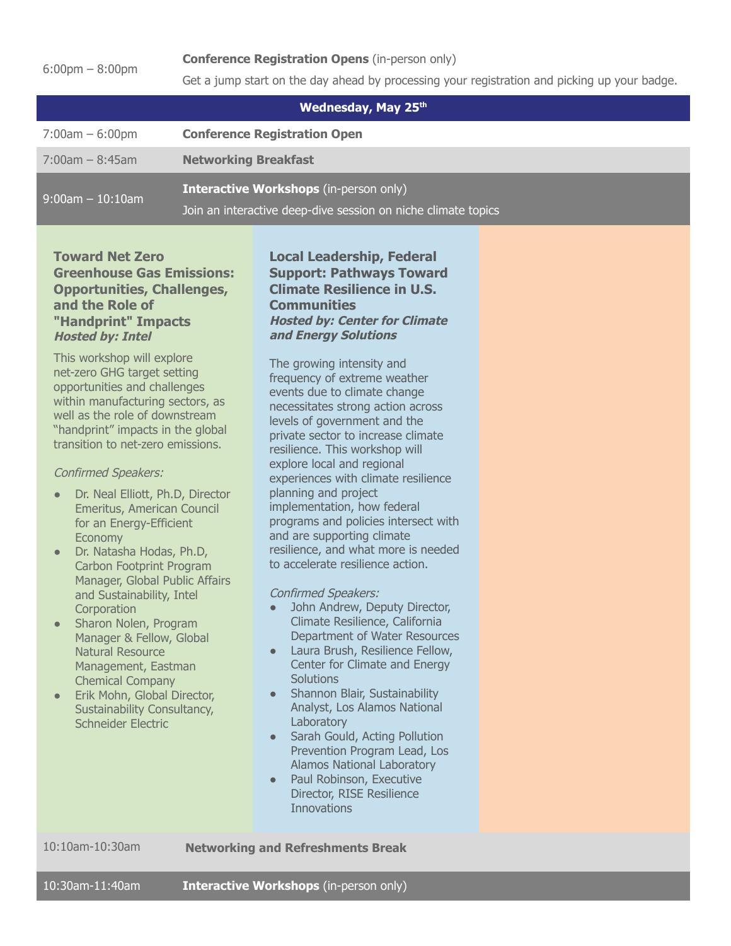6:00pm – 8:00pm

Get a jump start on the day ahead by processing your registration and picking up your badge.

| Wednesday, May 25th |                                                                                                                |  |  |  |
|---------------------|----------------------------------------------------------------------------------------------------------------|--|--|--|
| $7:00am - 6:00pm$   | <b>Conference Registration Open</b>                                                                            |  |  |  |
| $7:00$ am – 8:45am  | <b>Networking Breakfast</b>                                                                                    |  |  |  |
| $9:00$ am - 10:10am | <b>Interactive Workshops</b> (in-person only)<br>Join an interactive deep-dive session on niche climate topics |  |  |  |

# **Toward Net Zero Greenhouse Gas Emissions: Opportunities, Challenges, and the Role of "Handprint" Impacts Hosted by: Intel**

This workshop will explore net-zero GHG target setting opportunities and challenges within manufacturing sectors, as well as the role of downstream "handprint" impacts in the global transition to net-zero emissions.

#### Confirmed Speakers:

- Dr. Neal Elliott, Ph.D, Director Emeritus, American Council for an Energy-Efficient Economy
- Dr. Natasha Hodas, Ph.D, Carbon Footprint Program Manager, Global Public Affairs and Sustainability, Intel **Corporation**
- Sharon Nolen, Program Manager & Fellow, Global Natural Resource Management, Eastman Chemical Company
- Erik Mohn, Global Director, Sustainability Consultancy, Schneider Electric

# **Local Leadership, Federal Support: Pathways Toward Climate Resilience in U.S. Communities Hosted by: Center for Climate and Energy Solutions**

The growing intensity and frequency of extreme weather events due to climate change necessitates strong action across levels of government and the private sector to increase climate resilience. This workshop will explore local and regional experiences with climate resilience planning and project implementation, how federal programs and policies intersect with and are supporting climate resilience, and what more is needed to accelerate resilience action.

Confirmed Speakers:

- John Andrew, Deputy Director, Climate Resilience, California Department of Water Resources
- Laura Brush, Resilience Fellow, Center for Climate and Energy **Solutions**
- Shannon Blair, Sustainability Analyst, Los Alamos National **Laboratory**
- Sarah Gould, Acting Pollution Prevention Program Lead, Los Alamos National Laboratory
- Paul Robinson, Executive Director, RISE Resilience **Innovations**

10:10am-10:30am **Networking and Refreshments Break**

10:30am-11:40am **Interactive Workshops** (in-person only)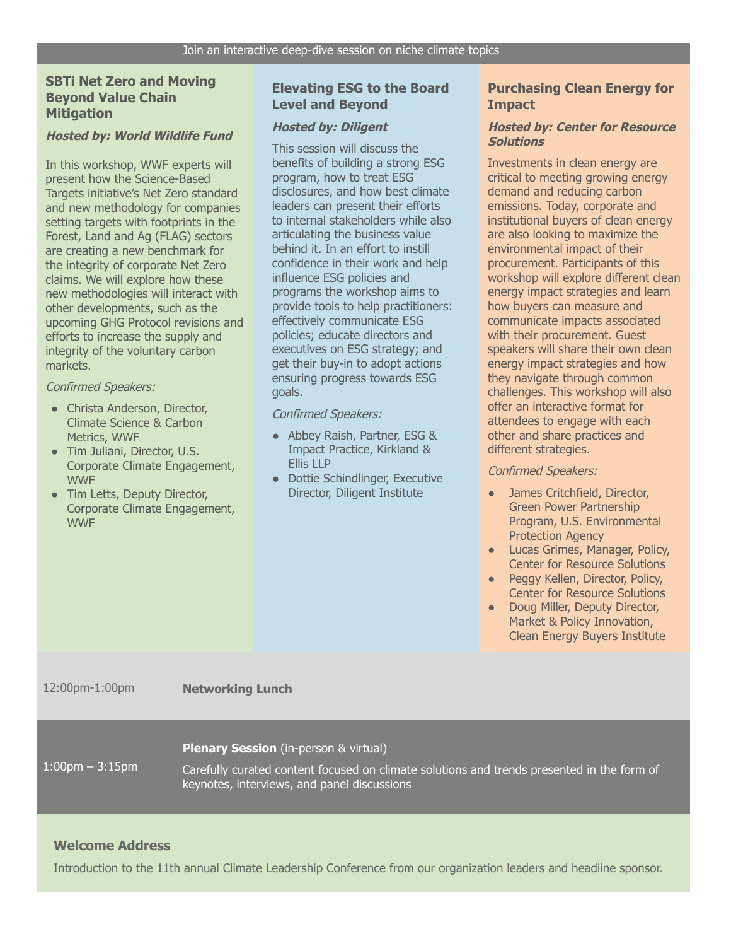# **SBTi Net Zero and Moving Beyond Value Chain Mitigation**

#### **Hosted by: World Wildlife Fund**

In this workshop, WWF experts will present how the Science-Based Targets initiative's Net Zero standard and new methodology for companies setting targets with footprints in the Forest, Land and Ag (FLAG) sectors are creating a new benchmark for the integrity of corporate Net Zero claims. We will explore how these new methodologies will interact with other developments, such as the upcoming GHG Protocol revisions and efforts to increase the supply and integrity of the voluntary carbon markets.

#### Confirmed Speakers:

- Christa Anderson, Director, Climate Science & Carbon Metrics, WWF
- Tim Juliani, Director, U.S. Corporate Climate Engagement, **WWF**
- Tim Letts, Deputy Director, Corporate Climate Engagement, WWF

#### **Elevating ESG to the Board Level and Beyond**

#### **Hosted by: Diligent**

This session will discuss the benefits of building a strong ESG program, how to treat ESG disclosures, and how best climate leaders can present their efforts to internal stakeholders while also articulating the business value behind it. In an effort to instill confidence in their work and help influence ESG policies and programs the workshop aims to provide tools to help practitioners: effectively communicate ESG policies; educate directors and executives on ESG strategy; and get their buy-in to adopt actions ensuring progress towards ESG goals.

Confirmed Speakers:

- Abbey Raish, Partner, ESG & Impact Practice, Kirkland & Ellis LLP
- Dottie Schindlinger, Executive Director, Diligent Institute

### **Purchasing Clean Energy for Impact**

#### **Hosted by: Center for Resource Solutions**

Investments in clean energy are critical to meeting growing energy demand and reducing carbon emissions. Today, corporate and institutional buyers of clean energy are also looking to maximize the environmental impact of their procurement. Participants of this workshop will explore different clean energy impact strategies and learn how buyers can measure and communicate impacts associated with their procurement. Guest speakers will share their own clean energy impact strategies and how they navigate through common challenges. This workshop will also offer an interactive format for attendees to engage with each other and share practices and different strategies.

#### Confirmed Speakers:

- James Critchfield, Director, Green Power Partnership Program, U.S. Environmental Protection Agency
- Lucas Grimes, Manager, Policy, Center for Resource Solutions
- Peggy Kellen, Director, Policy, Center for Resource Solutions
- Doug Miller, Deputy Director, Market & Policy Innovation, Clean Energy Buyers Institute

12:00pm-1:00pm **Networking Lunch**

#### **Plenary Session** (in-person & virtual)

1:00pm – 3:15pm

Carefully curated content focused on climate solutions and trends presented in the form of keynotes, interviews, and panel discussions

# **Welcome Address**

Introduction to the 11th annual Climate Leadership Conference from our organization leaders and headline sponsor.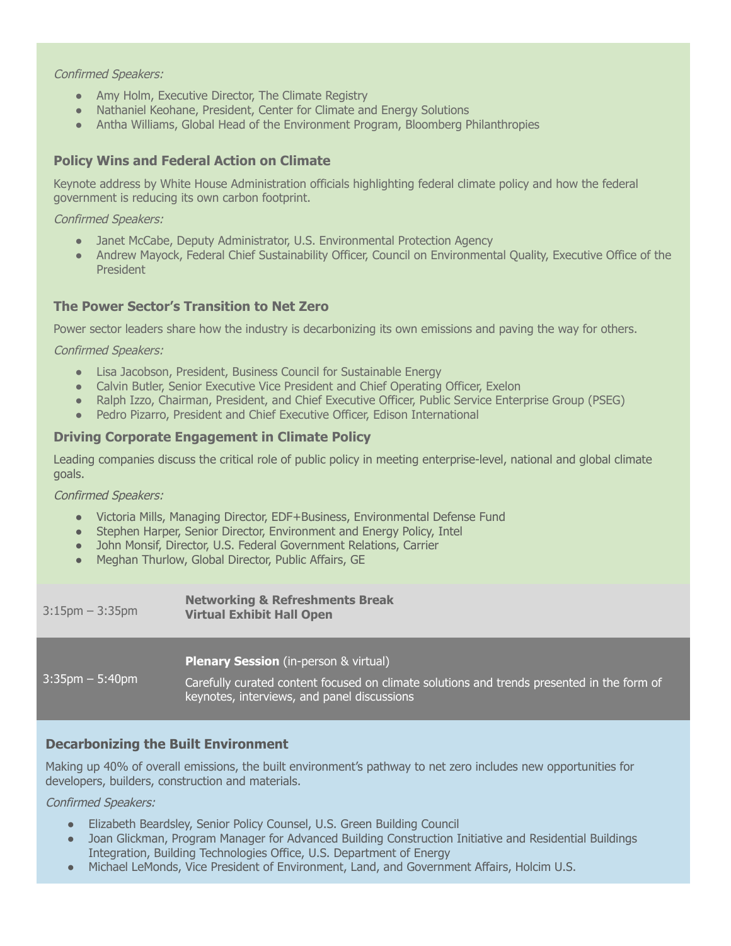#### Confirmed Speakers:

- Amy Holm, Executive Director, The Climate Registry
- Nathaniel Keohane, President, Center for Climate and Energy Solutions
- Antha Williams, Global Head of the Environment Program, Bloomberg Philanthropies

# **Policy Wins and Federal Action on Climate**

Keynote address by White House Administration officials highlighting federal climate policy and how the federal government is reducing its own carbon footprint.

#### Confirmed Speakers:

- Janet McCabe, Deputy Administrator, U.S. Environmental Protection Agency
- Andrew Mayock, Federal Chief Sustainability Officer, Council on Environmental Quality, Executive Office of the President

### **The Power Sector's Transition to Net Zero**

Power sector leaders share how the industry is decarbonizing its own emissions and paving the way for others.

#### Confirmed Speakers:

- Lisa Jacobson, President, Business Council for Sustainable Energy
- Calvin Butler, Senior Executive Vice President and Chief Operating Officer, Exelon
- Ralph Izzo, Chairman, President, and Chief Executive Officer, Public Service Enterprise Group (PSEG)
- Pedro Pizarro, President and Chief Executive Officer, Edison International

### **Driving Corporate Engagement in Climate Policy**

Leading companies discuss the critical role of public policy in meeting enterprise-level, national and global climate goals.

Confirmed Speakers:

- Victoria Mills, Managing Director, EDF+Business, Environmental Defense Fund
- Stephen Harper, Senior Director, Environment and Energy Policy, Intel
- John Monsif, Director, U.S. Federal Government Relations, Carrier
- Meghan Thurlow, Global Director, Public Affairs, GE

| $3:15$ pm $-3:35$ pm | <b>Networking &amp; Refreshments Break</b><br><b>Virtual Exhibit Hall Open</b>                                                                                                            |
|----------------------|-------------------------------------------------------------------------------------------------------------------------------------------------------------------------------------------|
| $3:35$ pm $-5:40$ pm | <b>Plenary Session</b> (in-person & virtual)<br>Carefully curated content focused on climate solutions and trends presented in the form of<br>keynotes, interviews, and panel discussions |

# **Decarbonizing the Built Environment**

Making up 40% of overall emissions, the built environment's pathway to net zero includes new opportunities for developers, builders, construction and materials.

#### Confirmed Speakers:

- Elizabeth Beardsley, Senior Policy Counsel, U.S. Green Building Council
- Joan Glickman, Program Manager for Advanced Building Construction Initiative and Residential Buildings Integration, Building Technologies Office, U.S. Department of Energy
- Michael LeMonds, Vice President of Environment, Land, and Government Affairs, Holcim U.S.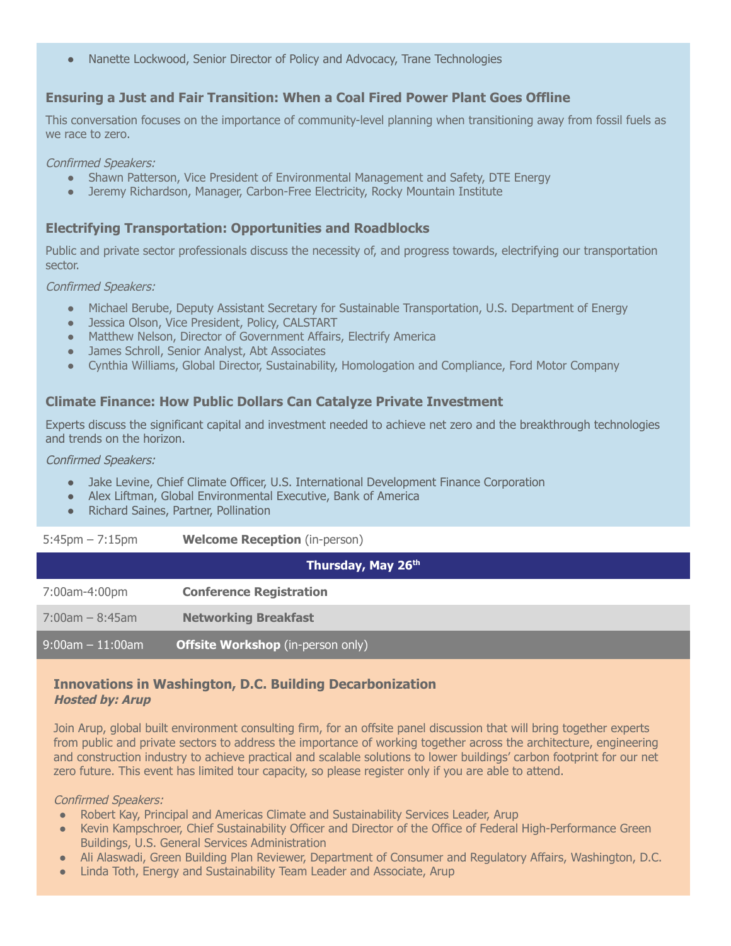Nanette Lockwood, Senior Director of Policy and Advocacy, Trane Technologies

# **Ensuring a Just and Fair Transition: When a Coal Fired Power Plant Goes Offline**

This conversation focuses on the importance of community-level planning when transitioning away from fossil fuels as we race to zero.

Confirmed Speakers:

- Shawn Patterson, Vice President of Environmental Management and Safety, DTE Energy
- Jeremy Richardson, Manager, Carbon-Free Electricity, Rocky Mountain Institute

# **Electrifying Transportation: Opportunities and Roadblocks**

Public and private sector professionals discuss the necessity of, and progress towards, electrifying our transportation sector.

Confirmed Speakers:

- Michael Berube, Deputy Assistant Secretary for Sustainable Transportation, U.S. Department of Energy
- Jessica Olson, Vice President, Policy, CALSTART
- Matthew Nelson, Director of Government Affairs, Electrify America
- James Schroll, Senior Analyst, Abt Associates
- Cynthia Williams, Global Director, Sustainability, Homologation and Compliance, Ford Motor Company

### **Climate Finance: How Public Dollars Can Catalyze Private Investment**

Experts discuss the significant capital and investment needed to achieve net zero and the breakthrough technologies and trends on the horizon.

Confirmed Speakers:

- Jake Levine, Chief Climate Officer, U.S. International Development Finance Corporation
- Alex Liftman, Global Environmental Executive, Bank of America
- Richard Saines, Partner, Pollination

| $5:45$ pm $-7:15$ pm | <b>Welcome Reception</b> (in-person) |
|----------------------|--------------------------------------|
|                      |                                      |

| Thursday, May 26th    |                                          |  |
|-----------------------|------------------------------------------|--|
| 7:00am-4:00pm         | <b>Conference Registration</b>           |  |
| $7:00$ am $-8:45$ am  | <b>Networking Breakfast</b>              |  |
| $9:00$ am $-11:00$ am | <b>Offsite Workshop</b> (in-person only) |  |

#### **Innovations in Washington, D.C. Building Decarbonization Hosted by: Arup**

Join Arup, global built environment consulting firm, for an offsite panel discussion that will bring together experts from public and private sectors to address the importance of working together across the architecture, engineering and construction industry to achieve practical and scalable solutions to lower buildings' carbon footprint for our net zero future. This event has limited tour capacity, so please register only if you are able to attend.

#### Confirmed Speakers:

- Robert Kay, Principal and Americas Climate and Sustainability Services Leader, Arup
- Kevin Kampschroer, Chief Sustainability Officer and Director of the Office of Federal High-Performance Green Buildings, U.S. General Services Administration
- Ali Alaswadi, Green Building Plan Reviewer, Department of Consumer and Regulatory Affairs, Washington, D.C.
- Linda Toth, Energy and Sustainability Team Leader and Associate, Arup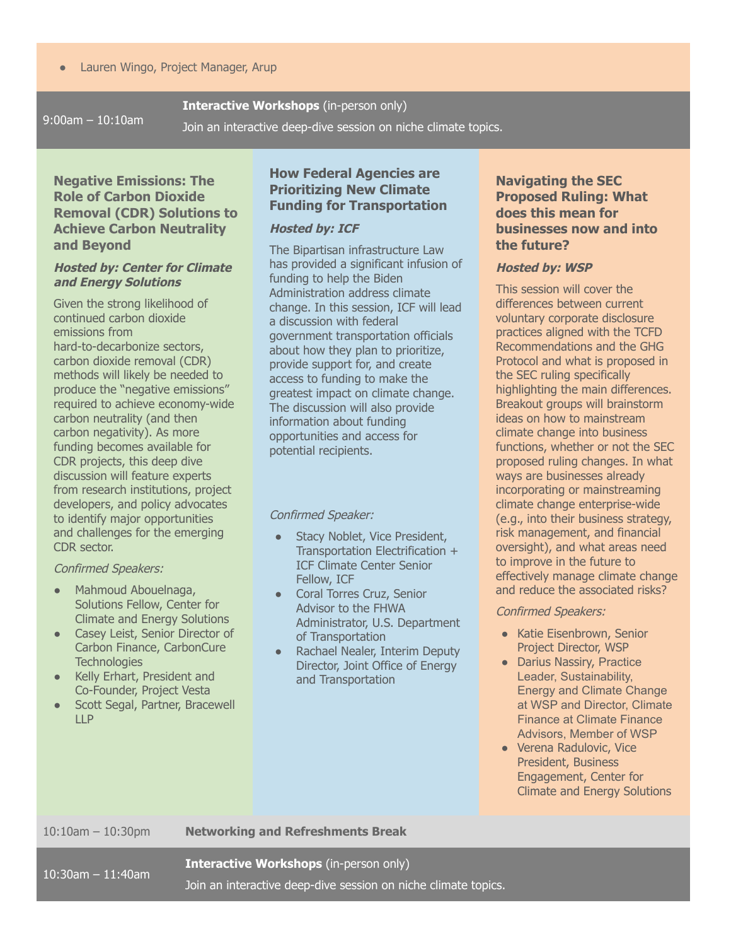9:00am – 10:10am

**Interactive Workshops** (in-person only)

Join an interactive deep-dive session on niche climate topics.

# **Negative Emissions: The Role of Carbon Dioxide Removal (CDR) Solutions to Achieve Carbon Neutrality and Beyond**

#### **Hosted by: Center for Climate and Energy Solutions**

Given the strong likelihood of continued carbon dioxide emissions from hard-to-decarbonize sectors, carbon dioxide removal (CDR) methods will likely be needed to produce the "negative emissions" required to achieve economy-wide carbon neutrality (and then carbon negativity). As more funding becomes available for CDR projects, this deep dive discussion will feature experts from research institutions, project developers, and policy advocates to identify major opportunities and challenges for the emerging CDR sector.

#### Confirmed Speakers:

- Mahmoud Abouelnaga, Solutions Fellow, Center for Climate and Energy Solutions
- Casey Leist, Senior Director of Carbon Finance, CarbonCure **Technologies**
- Kelly Erhart, President and Co-Founder, Project Vesta
- Scott Segal, Partner, Bracewell LLP

# **How Federal Agencies are Prioritizing New Climate Funding for Transportation**

#### **Hosted by: ICF**

The Bipartisan infrastructure Law has provided a significant infusion of funding to help the Biden Administration address climate change. In this session, ICF will lead a discussion with federal government transportation officials about how they plan to prioritize, provide support for, and create access to funding to make the greatest impact on climate change. The discussion will also provide information about funding opportunities and access for potential recipients.

#### Confirmed Speaker:

- Stacy Noblet, Vice President, Transportation Electrification + ICF Climate Center Senior Fellow, ICF
- Coral Torres Cruz, Senior Advisor to the FHWA Administrator, U.S. Department of Transportation
- Rachael Nealer, Interim Deputy Director, Joint Office of Energy and Transportation

# **Navigating the SEC Proposed Ruling: What does this mean for businesses now and into the future?**

#### **Hosted by: WSP**

This session will cover the differences between current voluntary corporate disclosure practices aligned with the TCFD Recommendations and the GHG Protocol and what is proposed in the SEC ruling specifically highlighting the main differences. Breakout groups will brainstorm ideas on how to mainstream climate change into business functions, whether or not the SEC proposed ruling changes. In what ways are businesses already incorporating or mainstreaming climate change enterprise-wide (e.g., into their business strategy, risk management, and financial oversight), and what areas need to improve in the future to effectively manage climate change and reduce the associated risks?

#### Confirmed Speakers:

- Katie Eisenbrown, Senior Project Director, WSP
- Darius Nassiry, Practice Leader, Sustainability, Energy and Climate Change at WSP and Director, Climate Finance at Climate Finance Advisors, Member of WSP
- Verena Radulovic, Vice President, Business Engagement, Center for Climate and Energy Solutions

#### 10:10am – 10:30pm **Networking and Refreshments Break**

10:30am – 11:40am

**Interactive Workshops** (in-person only)

Join an interactive deep-dive session on niche climate topics.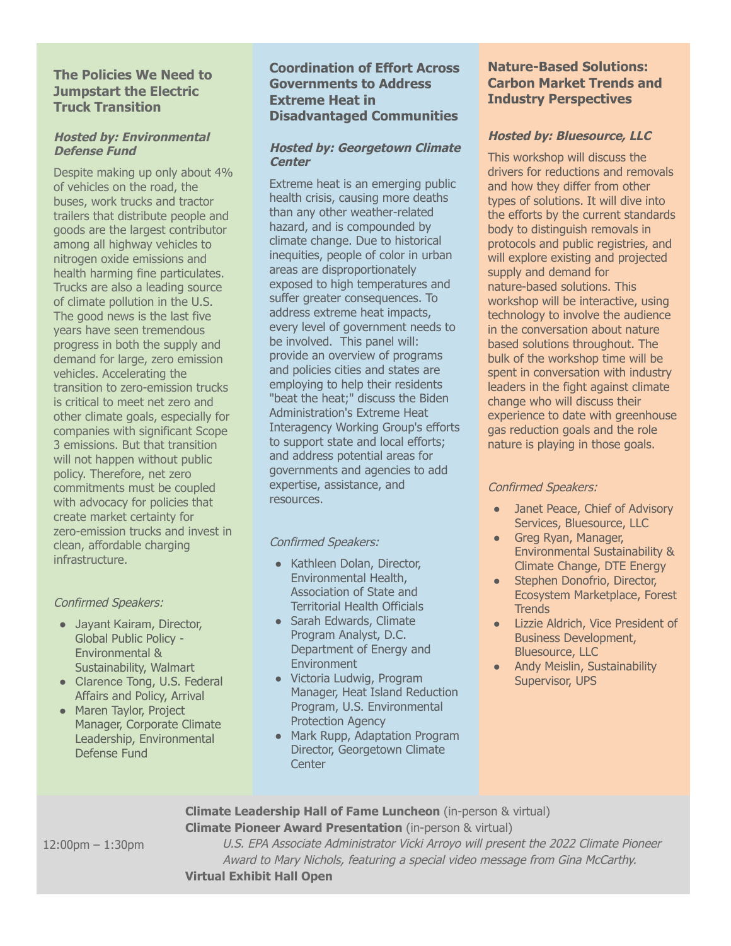# **The Policies We Need to Jumpstart the Electric Truck Transition**

#### **Hosted by: Environmental Defense Fund**

Despite making up only about 4% of vehicles on the road, the buses, work trucks and tractor trailers that distribute people and goods are the largest contributor among all highway vehicles to nitrogen oxide emissions and health harming fine particulates. Trucks are also a leading source of climate pollution in the U.S. The good news is the last five years have seen tremendous progress in both the supply and demand for large, zero emission vehicles. Accelerating the transition to zero-emission trucks is critical to meet net zero and other climate goals, especially for companies with significant Scope 3 emissions. But that transition will not happen without public policy. Therefore, net zero commitments must be coupled with advocacy for policies that create market certainty for zero-emission trucks and invest in clean, affordable charging infrastructure.

#### Confirmed Speakers:

- Jayant Kairam, Director, Global Public Policy - Environmental & Sustainability, Walmart
- Clarence Tong, U.S. Federal Affairs and Policy, Arrival
- Maren Taylor, Project Manager, Corporate Climate Leadership, Environmental Defense Fund

# **Coordination of Effort Across Governments to Address Extreme Heat in Disadvantaged Communities**

# **Hosted by: Georgetown Climate Center**

Extreme heat is an emerging public health crisis, causing more deaths than any other weather-related hazard, and is compounded by climate change. Due to historical inequities, people of color in urban areas are disproportionately exposed to high temperatures and suffer greater consequences. To address extreme heat impacts, every level of government needs to be involved. This panel will: provide an overview of programs and policies cities and states are employing to help their residents "beat the heat;" discuss the Biden Administration's Extreme Heat Interagency Working Group's efforts to support state and local efforts; and address potential areas for governments and agencies to add expertise, assistance, and resources.

Confirmed Speakers:

- Kathleen Dolan, Director, Environmental Health, Association of State and Territorial Health Officials
- Sarah Edwards, Climate Program Analyst, D.C. Department of Energy and Environment
- Victoria Ludwig, Program Manager, Heat Island Reduction Program, U.S. Environmental Protection Agency
- Mark Rupp, Adaptation Program Director, Georgetown Climate **Center**

# **Nature-Based Solutions: Carbon Market Trends and Industry Perspectives**

# **Hosted by: Bluesource, LLC**

This workshop will discuss the drivers for reductions and removals and how they differ from other types of solutions. It will dive into the efforts by the current standards body to distinguish removals in protocols and public registries, and will explore existing and projected supply and demand for nature-based solutions. This workshop will be interactive, using technology to involve the audience in the conversation about nature based solutions throughout. The bulk of the workshop time will be spent in conversation with industry leaders in the fight against climate change who will discuss their experience to date with greenhouse gas reduction goals and the role nature is playing in those goals.

# Confirmed Speakers:

- Janet Peace, Chief of Advisory Services, Bluesource, LLC
- Greg Ryan, Manager, Environmental Sustainability & Climate Change, DTE Energy
- Stephen Donofrio, Director, Ecosystem Marketplace, Forest **Trends**
- Lizzie Aldrich, Vice President of Business Development, Bluesource, LLC
- Andy Meislin, Sustainability Supervisor, UPS

**Climate Leadership Hall of Fame Luncheon** (in-person & virtual) **Climate Pioneer Award Presentation** (in-person & virtual)

12:00pm – 1:30pm

U.S. EPA Associate Administrator Vicki Arroyo will present the 2022 Climate Pioneer Award to Mary Nichols, featuring <sup>a</sup> special video message from Gina McCarthy. **Virtual Exhibit Hall Open**